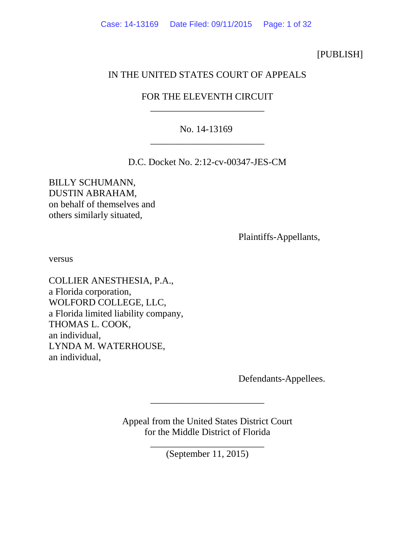## [PUBLISH]

# IN THE UNITED STATES COURT OF APPEALS

# FOR THE ELEVENTH CIRCUIT \_\_\_\_\_\_\_\_\_\_\_\_\_\_\_\_\_\_\_\_\_\_\_\_

# No. 14-13169 \_\_\_\_\_\_\_\_\_\_\_\_\_\_\_\_\_\_\_\_\_\_\_\_

D.C. Docket No. 2:12-cv-00347-JES-CM

BILLY SCHUMANN, DUSTIN ABRAHAM, on behalf of themselves and others similarly situated,

Plaintiffs-Appellants,

versus

COLLIER ANESTHESIA, P.A., a Florida corporation, WOLFORD COLLEGE, LLC, a Florida limited liability company, THOMAS L. COOK, an individual, LYNDA M. WATERHOUSE, an individual,

Defendants-Appellees.

Appeal from the United States District Court for the Middle District of Florida

\_\_\_\_\_\_\_\_\_\_\_\_\_\_\_\_\_\_\_\_\_\_\_\_

\_\_\_\_\_\_\_\_\_\_\_\_\_\_\_\_\_\_\_\_\_\_\_\_ (September 11, 2015)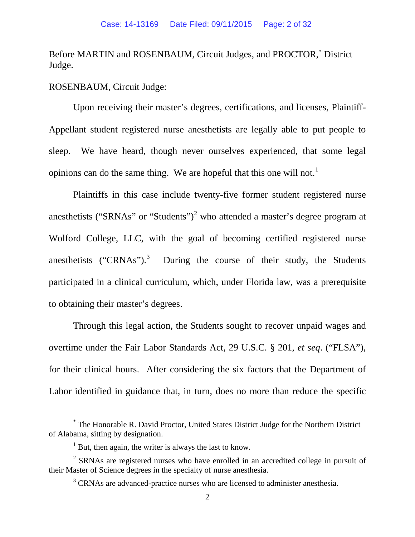Before MARTIN and ROSENBAUM, Circuit Judges, and PROCTOR,[\\*](#page-1-0) District Judge.

### ROSENBAUM, Circuit Judge:

Upon receiving their master's degrees, certifications, and licenses, Plaintiff-Appellant student registered nurse anesthetists are legally able to put people to sleep. We have heard, though never ourselves experienced, that some legal opinions can do the same thing. We are hopeful that this one will not.<sup>[1](#page-1-1)</sup>

Plaintiffs in this case include twenty-five former student registered nurse anesthetists ("SRNAs" or "Students")<sup>[2](#page-1-2)</sup> who attended a master's degree program at Wolford College, LLC, with the goal of becoming certified registered nurse anesthetists  $("CRNAs")$ .<sup>[3](#page-1-3)</sup> During the course of their study, the Students participated in a clinical curriculum, which, under Florida law, was a prerequisite to obtaining their master's degrees.

Through this legal action, the Students sought to recover unpaid wages and overtime under the Fair Labor Standards Act, 29 U.S.C. § 201, *et seq*. ("FLSA"), for their clinical hours. After considering the six factors that the Department of Labor identified in guidance that, in turn, does no more than reduce the specific

<span id="page-1-0"></span><sup>\*</sup> The Honorable R. David Proctor, United States District Judge for the Northern District of Alabama, sitting by designation.

 $1$  But, then again, the writer is always the last to know.

<span id="page-1-3"></span><span id="page-1-2"></span><span id="page-1-1"></span><sup>&</sup>lt;sup>2</sup> SRNAs are registered nurses who have enrolled in an accredited college in pursuit of their Master of Science degrees in the specialty of nurse anesthesia.

<sup>&</sup>lt;sup>3</sup> CRNAs are advanced-practice nurses who are licensed to administer anesthesia.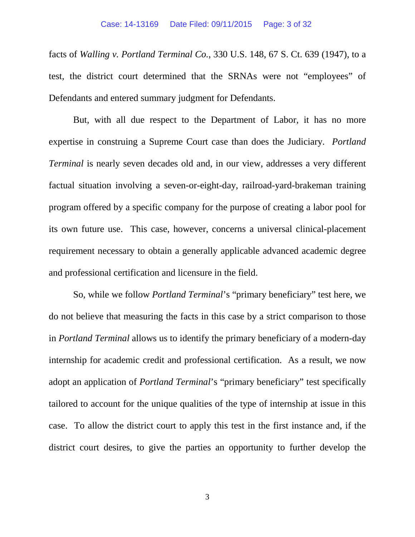#### Case: 14-13169 Date Filed: 09/11/2015 Page: 3 of 32

facts of *Walling v. Portland Terminal Co.*, 330 U.S. 148, 67 S. Ct. 639 (1947), to a test, the district court determined that the SRNAs were not "employees" of Defendants and entered summary judgment for Defendants.

But, with all due respect to the Department of Labor, it has no more expertise in construing a Supreme Court case than does the Judiciary. *Portland Terminal* is nearly seven decades old and, in our view, addresses a very different factual situation involving a seven-or-eight-day, railroad-yard-brakeman training program offered by a specific company for the purpose of creating a labor pool for its own future use. This case, however, concerns a universal clinical-placement requirement necessary to obtain a generally applicable advanced academic degree and professional certification and licensure in the field.

So, while we follow *Portland Terminal*'s "primary beneficiary" test here, we do not believe that measuring the facts in this case by a strict comparison to those in *Portland Terminal* allows us to identify the primary beneficiary of a modern-day internship for academic credit and professional certification. As a result, we now adopt an application of *Portland Terminal*'s "primary beneficiary" test specifically tailored to account for the unique qualities of the type of internship at issue in this case. To allow the district court to apply this test in the first instance and, if the district court desires, to give the parties an opportunity to further develop the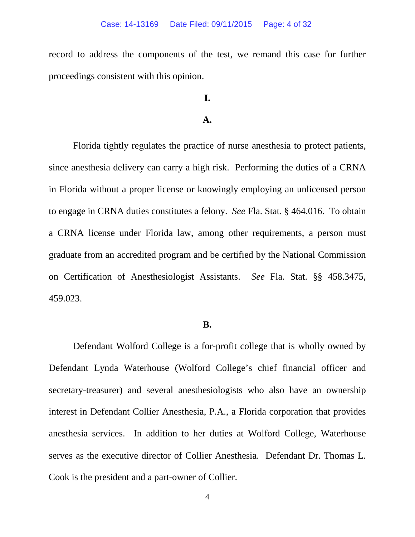record to address the components of the test, we remand this case for further proceedings consistent with this opinion.

## **I.**

### **A.**

Florida tightly regulates the practice of nurse anesthesia to protect patients, since anesthesia delivery can carry a high risk. Performing the duties of a CRNA in Florida without a proper license or knowingly employing an unlicensed person to engage in CRNA duties constitutes a felony. *See* Fla. Stat. § 464.016. To obtain a CRNA license under Florida law, among other requirements, a person must graduate from an accredited program and be certified by the National Commission on Certification of Anesthesiologist Assistants. *See* Fla. Stat. §§ 458.3475, 459.023.

### **B.**

Defendant Wolford College is a for-profit college that is wholly owned by Defendant Lynda Waterhouse (Wolford College's chief financial officer and secretary-treasurer) and several anesthesiologists who also have an ownership interest in Defendant Collier Anesthesia, P.A., a Florida corporation that provides anesthesia services. In addition to her duties at Wolford College, Waterhouse serves as the executive director of Collier Anesthesia. Defendant Dr. Thomas L. Cook is the president and a part-owner of Collier.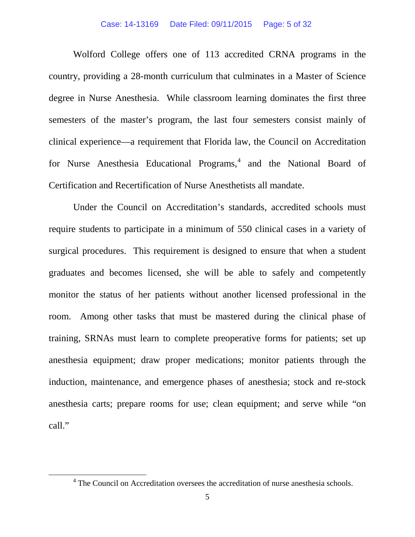#### Case: 14-13169 Date Filed: 09/11/2015 Page: 5 of 32

Wolford College offers one of 113 accredited CRNA programs in the country, providing a 28-month curriculum that culminates in a Master of Science degree in Nurse Anesthesia. While classroom learning dominates the first three semesters of the master's program, the last four semesters consist mainly of clinical experience—a requirement that Florida law, the Council on Accreditation for Nurse Anesthesia Educational Programs,<sup>[4](#page-4-0)</sup> and the National Board of Certification and Recertification of Nurse Anesthetists all mandate.

Under the Council on Accreditation's standards, accredited schools must require students to participate in a minimum of 550 clinical cases in a variety of surgical procedures. This requirement is designed to ensure that when a student graduates and becomes licensed, she will be able to safely and competently monitor the status of her patients without another licensed professional in the room. Among other tasks that must be mastered during the clinical phase of training, SRNAs must learn to complete preoperative forms for patients; set up anesthesia equipment; draw proper medications; monitor patients through the induction, maintenance, and emergence phases of anesthesia; stock and re-stock anesthesia carts; prepare rooms for use; clean equipment; and serve while "on call."

<span id="page-4-0"></span><sup>&</sup>lt;sup>4</sup> The Council on Accreditation oversees the accreditation of nurse anesthesia schools.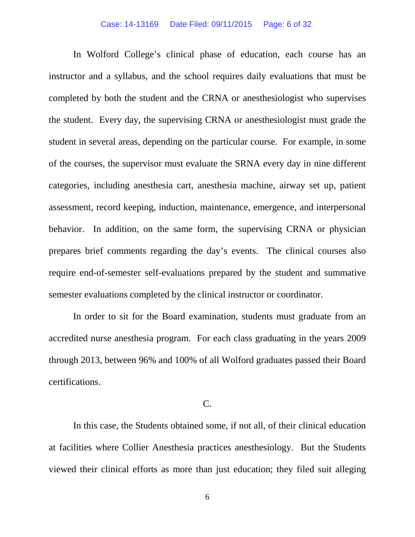#### Case: 14-13169 Date Filed: 09/11/2015 Page: 6 of 32

In Wolford College's clinical phase of education, each course has an instructor and a syllabus, and the school requires daily evaluations that must be completed by both the student and the CRNA or anesthesiologist who supervises the student. Every day, the supervising CRNA or anesthesiologist must grade the student in several areas, depending on the particular course. For example, in some of the courses, the supervisor must evaluate the SRNA every day in nine different categories, including anesthesia cart, anesthesia machine, airway set up, patient assessment, record keeping, induction, maintenance, emergence, and interpersonal behavior. In addition, on the same form, the supervising CRNA or physician prepares brief comments regarding the day's events. The clinical courses also require end-of-semester self-evaluations prepared by the student and summative semester evaluations completed by the clinical instructor or coordinator.

In order to sit for the Board examination, students must graduate from an accredited nurse anesthesia program. For each class graduating in the years 2009 through 2013, between 96% and 100% of all Wolford graduates passed their Board certifications.

### C.

In this case, the Students obtained some, if not all, of their clinical education at facilities where Collier Anesthesia practices anesthesiology. But the Students viewed their clinical efforts as more than just education; they filed suit alleging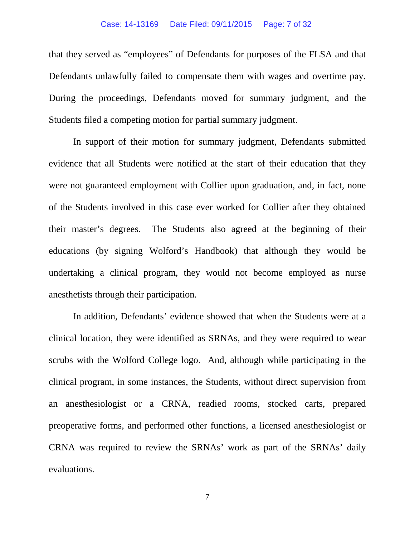#### Case: 14-13169 Date Filed: 09/11/2015 Page: 7 of 32

that they served as "employees" of Defendants for purposes of the FLSA and that Defendants unlawfully failed to compensate them with wages and overtime pay. During the proceedings, Defendants moved for summary judgment, and the Students filed a competing motion for partial summary judgment.

In support of their motion for summary judgment, Defendants submitted evidence that all Students were notified at the start of their education that they were not guaranteed employment with Collier upon graduation, and, in fact, none of the Students involved in this case ever worked for Collier after they obtained their master's degrees. The Students also agreed at the beginning of their educations (by signing Wolford's Handbook) that although they would be undertaking a clinical program, they would not become employed as nurse anesthetists through their participation.

In addition, Defendants' evidence showed that when the Students were at a clinical location, they were identified as SRNAs, and they were required to wear scrubs with the Wolford College logo. And, although while participating in the clinical program, in some instances, the Students, without direct supervision from an anesthesiologist or a CRNA, readied rooms, stocked carts, prepared preoperative forms, and performed other functions, a licensed anesthesiologist or CRNA was required to review the SRNAs' work as part of the SRNAs' daily evaluations.

7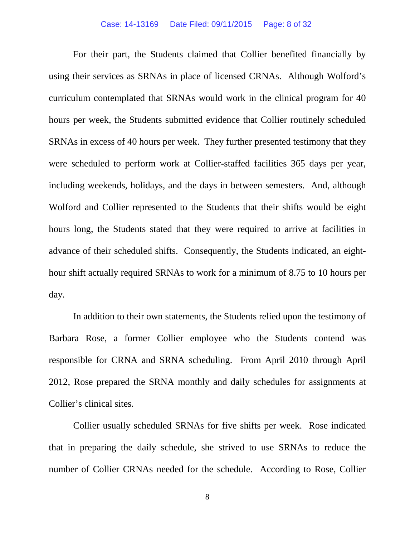For their part, the Students claimed that Collier benefited financially by using their services as SRNAs in place of licensed CRNAs. Although Wolford's curriculum contemplated that SRNAs would work in the clinical program for 40 hours per week, the Students submitted evidence that Collier routinely scheduled SRNAs in excess of 40 hours per week. They further presented testimony that they were scheduled to perform work at Collier-staffed facilities 365 days per year, including weekends, holidays, and the days in between semesters. And, although Wolford and Collier represented to the Students that their shifts would be eight hours long, the Students stated that they were required to arrive at facilities in advance of their scheduled shifts. Consequently, the Students indicated, an eighthour shift actually required SRNAs to work for a minimum of 8.75 to 10 hours per day.

In addition to their own statements, the Students relied upon the testimony of Barbara Rose, a former Collier employee who the Students contend was responsible for CRNA and SRNA scheduling. From April 2010 through April 2012, Rose prepared the SRNA monthly and daily schedules for assignments at Collier's clinical sites.

Collier usually scheduled SRNAs for five shifts per week. Rose indicated that in preparing the daily schedule, she strived to use SRNAs to reduce the number of Collier CRNAs needed for the schedule. According to Rose, Collier

8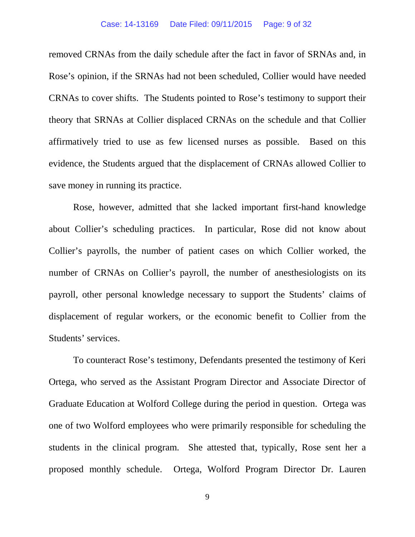removed CRNAs from the daily schedule after the fact in favor of SRNAs and, in Rose's opinion, if the SRNAs had not been scheduled, Collier would have needed CRNAs to cover shifts. The Students pointed to Rose's testimony to support their theory that SRNAs at Collier displaced CRNAs on the schedule and that Collier affirmatively tried to use as few licensed nurses as possible. Based on this evidence, the Students argued that the displacement of CRNAs allowed Collier to save money in running its practice.

Rose, however, admitted that she lacked important first-hand knowledge about Collier's scheduling practices. In particular, Rose did not know about Collier's payrolls, the number of patient cases on which Collier worked, the number of CRNAs on Collier's payroll, the number of anesthesiologists on its payroll, other personal knowledge necessary to support the Students' claims of displacement of regular workers, or the economic benefit to Collier from the Students' services.

To counteract Rose's testimony, Defendants presented the testimony of Keri Ortega, who served as the Assistant Program Director and Associate Director of Graduate Education at Wolford College during the period in question. Ortega was one of two Wolford employees who were primarily responsible for scheduling the students in the clinical program. She attested that, typically, Rose sent her a proposed monthly schedule. Ortega, Wolford Program Director Dr. Lauren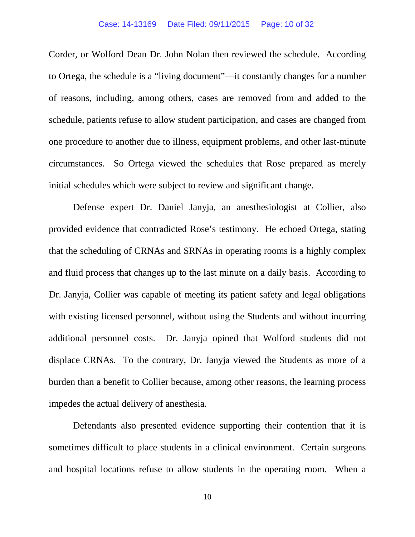#### Case: 14-13169 Date Filed: 09/11/2015 Page: 10 of 32

Corder, or Wolford Dean Dr. John Nolan then reviewed the schedule. According to Ortega, the schedule is a "living document"—it constantly changes for a number of reasons, including, among others, cases are removed from and added to the schedule, patients refuse to allow student participation, and cases are changed from one procedure to another due to illness, equipment problems, and other last-minute circumstances. So Ortega viewed the schedules that Rose prepared as merely initial schedules which were subject to review and significant change.

Defense expert Dr. Daniel Janyja, an anesthesiologist at Collier, also provided evidence that contradicted Rose's testimony. He echoed Ortega, stating that the scheduling of CRNAs and SRNAs in operating rooms is a highly complex and fluid process that changes up to the last minute on a daily basis. According to Dr. Janyja, Collier was capable of meeting its patient safety and legal obligations with existing licensed personnel, without using the Students and without incurring additional personnel costs. Dr. Janyja opined that Wolford students did not displace CRNAs. To the contrary, Dr. Janyja viewed the Students as more of a burden than a benefit to Collier because, among other reasons, the learning process impedes the actual delivery of anesthesia.

 Defendants also presented evidence supporting their contention that it is sometimes difficult to place students in a clinical environment. Certain surgeons and hospital locations refuse to allow students in the operating room. When a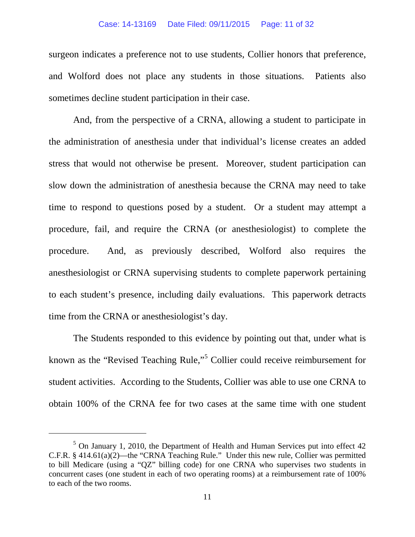#### Case: 14-13169 Date Filed: 09/11/2015 Page: 11 of 32

surgeon indicates a preference not to use students, Collier honors that preference, and Wolford does not place any students in those situations. Patients also sometimes decline student participation in their case.

And, from the perspective of a CRNA, allowing a student to participate in the administration of anesthesia under that individual's license creates an added stress that would not otherwise be present. Moreover, student participation can slow down the administration of anesthesia because the CRNA may need to take time to respond to questions posed by a student. Or a student may attempt a procedure, fail, and require the CRNA (or anesthesiologist) to complete the procedure. And, as previously described, Wolford also requires the anesthesiologist or CRNA supervising students to complete paperwork pertaining to each student's presence, including daily evaluations. This paperwork detracts time from the CRNA or anesthesiologist's day.

The Students responded to this evidence by pointing out that, under what is known as the "Revised Teaching Rule,"[5](#page-10-0) Collier could receive reimbursement for student activities. According to the Students, Collier was able to use one CRNA to obtain 100% of the CRNA fee for two cases at the same time with one student

<span id="page-10-0"></span> $5$  On January 1, 2010, the Department of Health and Human Services put into effect 42 C.F.R. § 414.61(a)(2)—the "CRNA Teaching Rule." Under this new rule, Collier was permitted to bill Medicare (using a "QZ" billing code) for one CRNA who supervises two students in concurrent cases (one student in each of two operating rooms) at a reimbursement rate of 100% to each of the two rooms.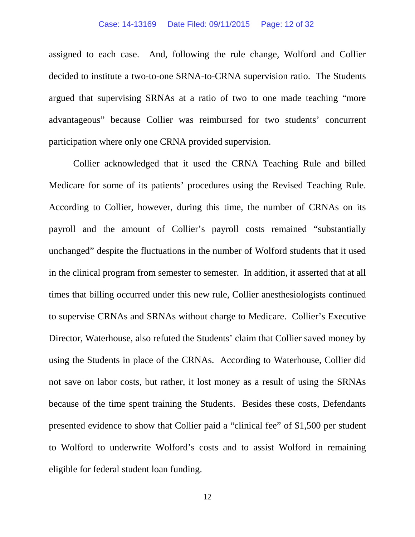#### Case: 14-13169 Date Filed: 09/11/2015 Page: 12 of 32

assigned to each case. And, following the rule change, Wolford and Collier decided to institute a two-to-one SRNA-to-CRNA supervision ratio. The Students argued that supervising SRNAs at a ratio of two to one made teaching "more advantageous" because Collier was reimbursed for two students' concurrent participation where only one CRNA provided supervision.

Collier acknowledged that it used the CRNA Teaching Rule and billed Medicare for some of its patients' procedures using the Revised Teaching Rule. According to Collier, however, during this time, the number of CRNAs on its payroll and the amount of Collier's payroll costs remained "substantially unchanged" despite the fluctuations in the number of Wolford students that it used in the clinical program from semester to semester. In addition, it asserted that at all times that billing occurred under this new rule, Collier anesthesiologists continued to supervise CRNAs and SRNAs without charge to Medicare. Collier's Executive Director, Waterhouse, also refuted the Students' claim that Collier saved money by using the Students in place of the CRNAs. According to Waterhouse, Collier did not save on labor costs, but rather, it lost money as a result of using the SRNAs because of the time spent training the Students. Besides these costs, Defendants presented evidence to show that Collier paid a "clinical fee" of \$1,500 per student to Wolford to underwrite Wolford's costs and to assist Wolford in remaining eligible for federal student loan funding.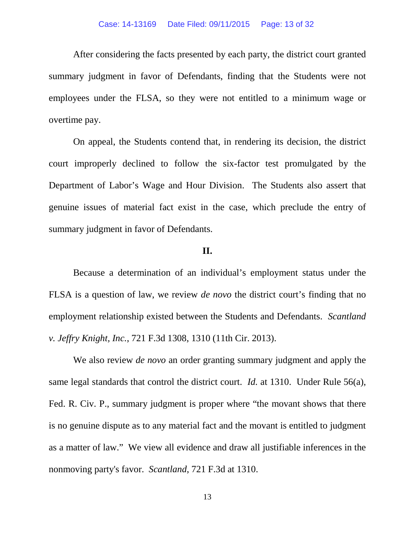#### Case: 14-13169 Date Filed: 09/11/2015 Page: 13 of 32

After considering the facts presented by each party, the district court granted summary judgment in favor of Defendants, finding that the Students were not employees under the FLSA, so they were not entitled to a minimum wage or overtime pay.

On appeal, the Students contend that, in rendering its decision, the district court improperly declined to follow the six-factor test promulgated by the Department of Labor's Wage and Hour Division. The Students also assert that genuine issues of material fact exist in the case, which preclude the entry of summary judgment in favor of Defendants.

## **II.**

Because a determination of an individual's employment status under the FLSA is a question of law, we review *de novo* the district court's finding that no employment relationship existed between the Students and Defendants. *Scantland v. Jeffry Knight, Inc.*, 721 F.3d 1308, 1310 (11th Cir. 2013).

We also review *de novo* an order granting summary judgment and apply the same legal standards that control the district court. *Id.* at 1310. Under Rule 56(a), Fed. R. Civ. P., summary judgment is proper where "the movant shows that there is no genuine dispute as to any material fact and the movant is entitled to judgment as a matter of law." We view all evidence and draw all justifiable inferences in the nonmoving party's favor. *Scantland*, 721 F.3d at 1310.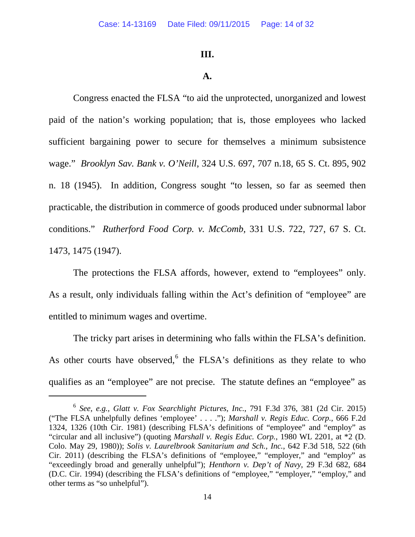#### **III.**

#### **A.**

Congress enacted the FLSA "to aid the unprotected, unorganized and lowest paid of the nation's working population; that is, those employees who lacked sufficient bargaining power to secure for themselves a minimum subsistence wage." *Brooklyn Sav. Bank v. O'Neill*, 324 U.S. 697, 707 n.18, 65 S. Ct. 895, 902 n. 18 (1945). In addition, Congress sought "to lessen, so far as seemed then practicable, the distribution in commerce of goods produced under subnormal labor conditions." *Rutherford Food Corp. v. McComb,* 331 U.S. 722, 727, 67 S. Ct. 1473, 1475 (1947).

The protections the FLSA affords, however, extend to "employees" only. As a result, only individuals falling within the Act's definition of "employee" are entitled to minimum wages and overtime.

The tricky part arises in determining who falls within the FLSA's definition. As other courts have observed, $6$  the FLSA's definitions as they relate to who qualifies as an "employee" are not precise. The statute defines an "employee" as

<span id="page-13-0"></span><sup>6</sup> *See, e.g., Glatt v. Fox Searchlight Pictures, Inc.*, 791 F.3d 376, 381 (2d Cir. 2015) ("The FLSA unhelpfully defines 'employee' . . . ."); *Marshall v. Regis Educ. Corp.*, 666 F.2d 1324, 1326 (10th Cir. 1981) (describing FLSA's definitions of "employee" and "employ" as "circular and all inclusive") (quoting *Marshall v. Regis Educ. Corp.*, 1980 WL 2201, at \*2 (D. Colo. May 29, 1980)); *Solis v. Laurelbrook Sanitarium and Sch., Inc.*, 642 F.3d 518, 522 (6th Cir. 2011) (describing the FLSA's definitions of "employee," "employer," and "employ" as "exceedingly broad and generally unhelpful"); *Henthorn v. Dep't of Navy*, 29 F.3d 682, 684 (D.C. Cir. 1994) (describing the FLSA's definitions of "employee," "employer," "employ," and other terms as "so unhelpful").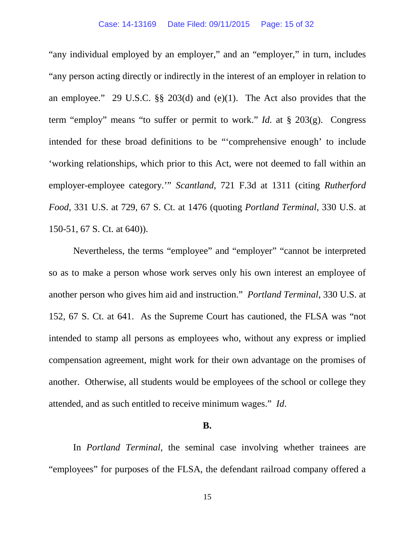"any individual employed by an employer," and an "employer," in turn, includes "any person acting directly or indirectly in the interest of an employer in relation to an employee." 29 U.S.C. §§ 203(d) and (e)(1). The Act also provides that the term "employ" means "to suffer or permit to work." *Id.* at § 203(g). Congress intended for these broad definitions to be "'comprehensive enough' to include 'working relationships, which prior to this Act, were not deemed to fall within an employer-employee category.'" *Scantland*, 721 F.3d at 1311 (citing *Rutherford Food,* 331 U.S. at 729, 67 S. Ct. at 1476 (quoting *Portland Terminal,* 330 U.S. at 150-51, 67 S. Ct. at 640)).

Nevertheless, the terms "employee" and "employer" "cannot be interpreted so as to make a person whose work serves only his own interest an employee of another person who gives him aid and instruction." *Portland Terminal*, 330 U.S. at 152, 67 S. Ct. at 641. As the Supreme Court has cautioned, the FLSA was "not intended to stamp all persons as employees who, without any express or implied compensation agreement, might work for their own advantage on the promises of another. Otherwise, all students would be employees of the school or college they attended, and as such entitled to receive minimum wages." *Id*.

### **B.**

In *Portland Terminal*, the seminal case involving whether trainees are "employees" for purposes of the FLSA, the defendant railroad company offered a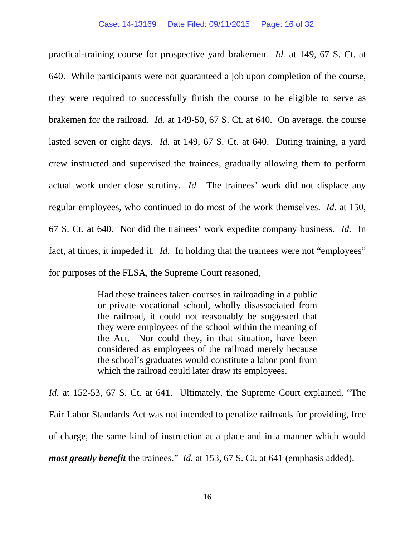practical-training course for prospective yard brakemen. *Id.* at 149, 67 S. Ct. at 640. While participants were not guaranteed a job upon completion of the course, they were required to successfully finish the course to be eligible to serve as brakemen for the railroad. *Id.* at 149-50, 67 S. Ct. at 640. On average, the course lasted seven or eight days. *Id.* at 149, 67 S. Ct. at 640. During training, a yard crew instructed and supervised the trainees, gradually allowing them to perform actual work under close scrutiny. *Id.* The trainees' work did not displace any regular employees, who continued to do most of the work themselves. *Id.* at 150, 67 S. Ct. at 640. Nor did the trainees' work expedite company business. *Id.* In fact, at times, it impeded it. *Id.* In holding that the trainees were not "employees" for purposes of the FLSA, the Supreme Court reasoned,

> Had these trainees taken courses in railroading in a public or private vocational school, wholly disassociated from the railroad, it could not reasonably be suggested that they were employees of the school within the meaning of the Act. Nor could they, in that situation, have been considered as employees of the railroad merely because the school's graduates would constitute a labor pool from which the railroad could later draw its employees.

*Id.* at 152-53, 67 S. Ct. at 641. Ultimately, the Supreme Court explained, "The Fair Labor Standards Act was not intended to penalize railroads for providing, free of charge, the same kind of instruction at a place and in a manner which would *most greatly benefit* the trainees." *Id.* at 153, 67 S. Ct. at 641 (emphasis added).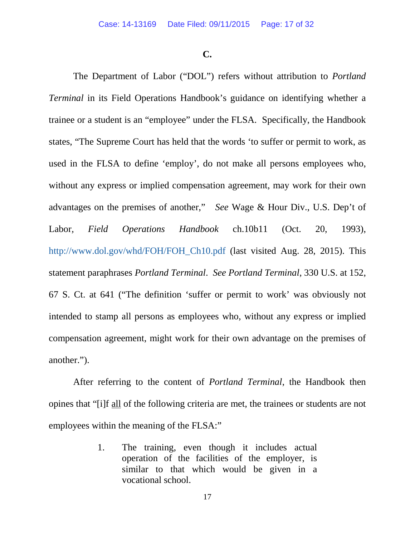**C.**

The Department of Labor ("DOL") refers without attribution to *Portland Terminal* in its Field Operations Handbook's guidance on identifying whether a trainee or a student is an "employee" under the FLSA. Specifically, the Handbook states, "The Supreme Court has held that the words 'to suffer or permit to work, as used in the FLSA to define 'employ', do not make all persons employees who, without any express or implied compensation agreement, may work for their own advantages on the premises of another," *See* Wage & Hour Div., U.S. Dep't of Labor*, Field Operations Handbook* ch.10b11 (Oct. 20, 1993), [http://www.dol.gov/whd/FOH/FOH\\_Ch10.pdf](http://www.dol.gov/whd/FOH/FOH_Ch10.pdf) (last visited Aug. 28, 2015). This statement paraphrases *Portland Terminal*. *See Portland Terminal*, 330 U.S. at 152, 67 S. Ct. at 641 ("The definition 'suffer or permit to work' was obviously not intended to stamp all persons as employees who, without any express or implied compensation agreement, might work for their own advantage on the premises of another.").

After referring to the content of *Portland Terminal*, the Handbook then opines that "[i]f all of the following criteria are met, the trainees or students are not employees within the meaning of the FLSA:"

> 1. The training, even though it includes actual operation of the facilities of the employer, is similar to that which would be given in a vocational school.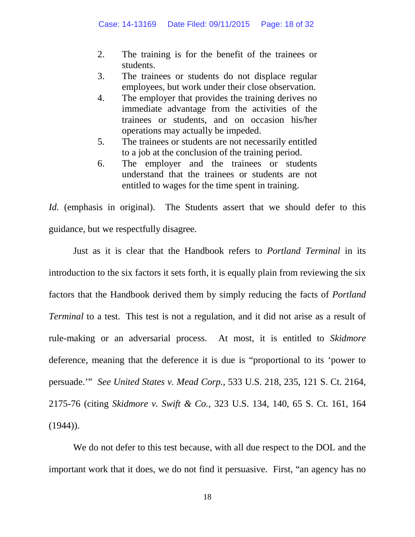- 2. The training is for the benefit of the trainees or students.
- 3. The trainees or students do not displace regular employees, but work under their close observation.
- 4. The employer that provides the training derives no immediate advantage from the activities of the trainees or students, and on occasion his/her operations may actually be impeded.
- 5. The trainees or students are not necessarily entitled to a job at the conclusion of the training period.
- 6. The employer and the trainees or students understand that the trainees or students are not entitled to wages for the time spent in training.

*Id.* (emphasis in original). The Students assert that we should defer to this guidance, but we respectfully disagree.

Just as it is clear that the Handbook refers to *Portland Terminal* in its introduction to the six factors it sets forth, it is equally plain from reviewing the six factors that the Handbook derived them by simply reducing the facts of *Portland Terminal* to a test. This test is not a regulation, and it did not arise as a result of rule-making or an adversarial process. At most, it is entitled to *Skidmore*  deference, meaning that the deference it is due is "proportional to its 'power to persuade.'" *See United States v. Mead Corp.*, 533 U.S. 218, 235, 121 S. Ct. 2164, 2175-76 (citing *Skidmore v. Swift & Co.*, 323 U.S. 134, 140, 65 S. Ct. 161, 164  $(1944)$ ).

We do not defer to this test because, with all due respect to the DOL and the important work that it does, we do not find it persuasive. First, "an agency has no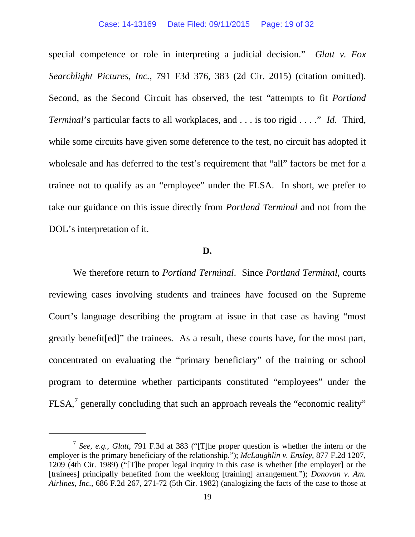special competence or role in interpreting a judicial decision." *Glatt v. Fox Searchlight Pictures, Inc.*, 791 F3d 376, 383 (2d Cir. 2015) (citation omitted). Second, as the Second Circuit has observed, the test "attempts to fit *Portland Terminal*'s particular facts to all workplaces, and . . . is too rigid . . . ." *Id.* Third, while some circuits have given some deference to the test, no circuit has adopted it wholesale and has deferred to the test's requirement that "all" factors be met for a trainee not to qualify as an "employee" under the FLSA. In short, we prefer to take our guidance on this issue directly from *Portland Terminal* and not from the DOL's interpretation of it.

#### **D.**

We therefore return to *Portland Terminal*.Since *Portland Terminal*, courts reviewing cases involving students and trainees have focused on the Supreme Court's language describing the program at issue in that case as having "most greatly benefit[ed]" the trainees. As a result, these courts have, for the most part, concentrated on evaluating the "primary beneficiary" of the training or school program to determine whether participants constituted "employees" under the  $FLSA<sub>1</sub><sup>7</sup>$  $FLSA<sub>1</sub><sup>7</sup>$  $FLSA<sub>1</sub><sup>7</sup>$  generally concluding that such an approach reveals the "economic reality"

<span id="page-18-0"></span><sup>7</sup> *See, e.g.*, *Glatt*, 791 F.3d at 383 ("[T]he proper question is whether the intern or the employer is the primary beneficiary of the relationship."); *McLaughlin v. Ensley*, 877 F.2d 1207, 1209 (4th Cir. 1989) ("[T]he proper legal inquiry in this case is whether [the employer] or the [trainees] principally benefited from the weeklong [training] arrangement."); *Donovan v. Am. Airlines, Inc.*, 686 F.2d 267, 271-72 (5th Cir. 1982) (analogizing the facts of the case to those at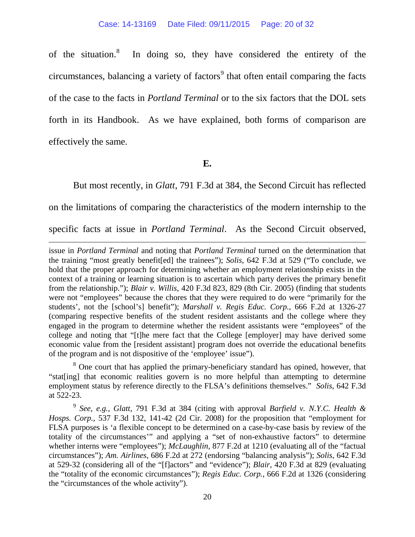of the situation.[8](#page-19-0) In doing so, they have considered the entirety of the circumstances, balancing a variety of factors $\sigma$ <sup>[9](#page-19-1)</sup> that often entail comparing the facts of the case to the facts in *Portland Terminal* or to the six factors that the DOL sets forth in its Handbook. As we have explained, both forms of comparison are effectively the same.

**E.**

But most recently, in *Glatt*, 791 F.3d at 384, the Second Circuit has reflected on the limitations of comparing the characteristics of the modern internship to the specific facts at issue in *Portland Terminal*. As the Second Circuit observed,

 $\overline{a}$ 

issue in *Portland Terminal* and noting that *Portland Terminal* turned on the determination that the training "most greatly benefit[ed] the trainees"); *Solis*, 642 F.3d at 529 ("To conclude, we hold that the proper approach for determining whether an employment relationship exists in the context of a training or learning situation is to ascertain which party derives the primary benefit from the relationship."); *Blair v. Willis*, 420 F.3d 823, 829 (8th Cir. 2005) (finding that students were not "employees" because the chores that they were required to do were "primarily for the students', not the [school's] benefit"); *Marshall v. Regis Educ. Corp.*, 666 F.2d at 1326-27 (comparing respective benefits of the student resident assistants and the college where they engaged in the program to determine whether the resident assistants were "employees" of the college and noting that "[t]he mere fact that the College [employer] may have derived some economic value from the [resident assistant] program does not override the educational benefits of the program and is not dispositive of the 'employee' issue").

<span id="page-19-0"></span><sup>8</sup> One court that has applied the primary-beneficiary standard has opined, however, that "stat[ing] that economic realities govern is no more helpful than attempting to determine employment status by reference directly to the FLSA's definitions themselves." *Solis*, 642 F.3d at 522-23.

<span id="page-19-1"></span><sup>9</sup> *See, e.g., Glatt*, 791 F.3d at 384 (citing with approval *Barfield v. N.Y.C. Health & Hosps. Corp.*, 537 F.3d 132, 141-42 (2d Cir. 2008) for the proposition that "employment for FLSA purposes is 'a flexible concept to be determined on a case-by-case basis by review of the totality of the circumstances'" and applying a "set of non-exhaustive factors" to determine whether interns were "employees"); *McLaughlin*, 877 F.2d at 1210 (evaluating all of the "factual circumstances"); *Am. Airlines*, 686 F.2d at 272 (endorsing "balancing analysis"); *Solis*, 642 F.3d at 529-32 (considering all of the "[f]actors" and "evidence"); *Blair*, 420 F.3d at 829 (evaluating the "totality of the economic circumstances"); *Regis Educ. Corp.*, 666 F.2d at 1326 (considering the "circumstances of the whole activity").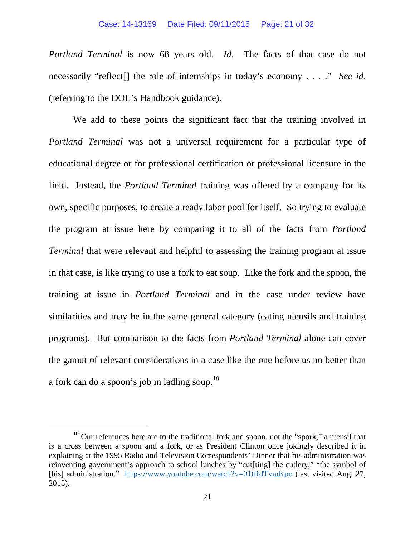*Portland Terminal* is now 68 years old. *Id.* The facts of that case do not necessarily "reflect[] the role of internships in today's economy . . . ." *See id*. (referring to the DOL's Handbook guidance).

We add to these points the significant fact that the training involved in *Portland Terminal* was not a universal requirement for a particular type of educational degree or for professional certification or professional licensure in the field. Instead, the *Portland Terminal* training was offered by a company for its own, specific purposes, to create a ready labor pool for itself. So trying to evaluate the program at issue here by comparing it to all of the facts from *Portland Terminal* that were relevant and helpful to assessing the training program at issue in that case, is like trying to use a fork to eat soup. Like the fork and the spoon, the training at issue in *Portland Terminal* and in the case under review have similarities and may be in the same general category (eating utensils and training programs). But comparison to the facts from *Portland Terminal* alone can cover the gamut of relevant considerations in a case like the one before us no better than a fork can do a spoon's job in ladling soup.[10](#page-20-0)

<span id="page-20-0"></span> $10$  Our references here are to the traditional fork and spoon, not the "spork," a utensil that is a cross between a spoon and a fork, or as President Clinton once jokingly described it in explaining at the 1995 Radio and Television Correspondents' Dinner that his administration was reinventing government's approach to school lunches by "cut[ting] the cutlery," "the symbol of [his] administration." <https://www.youtube.com/watch?v=01tRdTvmKpo> (last visited Aug. 27, 2015).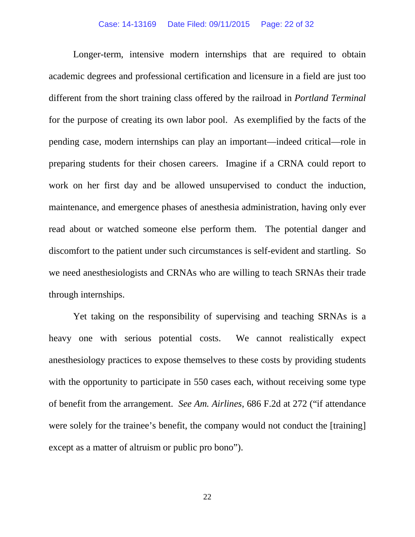#### Case: 14-13169 Date Filed: 09/11/2015 Page: 22 of 32

Longer-term, intensive modern internships that are required to obtain academic degrees and professional certification and licensure in a field are just too different from the short training class offered by the railroad in *Portland Terminal* for the purpose of creating its own labor pool. As exemplified by the facts of the pending case, modern internships can play an important—indeed critical—role in preparing students for their chosen careers. Imagine if a CRNA could report to work on her first day and be allowed unsupervised to conduct the induction, maintenance, and emergence phases of anesthesia administration, having only ever read about or watched someone else perform them. The potential danger and discomfort to the patient under such circumstances is self-evident and startling. So we need anesthesiologists and CRNAs who are willing to teach SRNAs their trade through internships.

Yet taking on the responsibility of supervising and teaching SRNAs is a heavy one with serious potential costs. We cannot realistically expect anesthesiology practices to expose themselves to these costs by providing students with the opportunity to participate in 550 cases each, without receiving some type of benefit from the arrangement. *See Am. Airlines*, 686 F.2d at 272 ("if attendance were solely for the trainee's benefit, the company would not conduct the [training] except as a matter of altruism or public pro bono").

22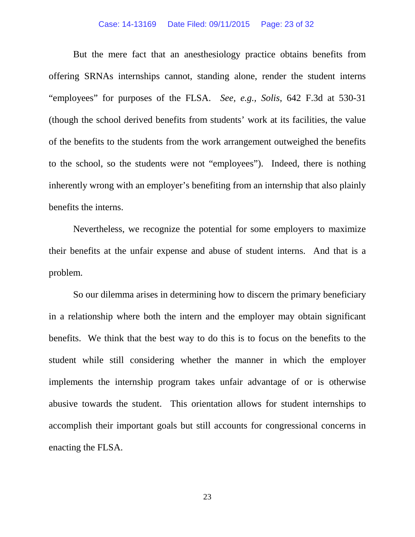#### Case: 14-13169 Date Filed: 09/11/2015 Page: 23 of 32

But the mere fact that an anesthesiology practice obtains benefits from offering SRNAs internships cannot, standing alone, render the student interns "employees" for purposes of the FLSA. *See, e.g., Solis*, 642 F.3d at 530-31 (though the school derived benefits from students' work at its facilities, the value of the benefits to the students from the work arrangement outweighed the benefits to the school, so the students were not "employees"). Indeed, there is nothing inherently wrong with an employer's benefiting from an internship that also plainly benefits the interns.

Nevertheless, we recognize the potential for some employers to maximize their benefits at the unfair expense and abuse of student interns. And that is a problem.

So our dilemma arises in determining how to discern the primary beneficiary in a relationship where both the intern and the employer may obtain significant benefits. We think that the best way to do this is to focus on the benefits to the student while still considering whether the manner in which the employer implements the internship program takes unfair advantage of or is otherwise abusive towards the student. This orientation allows for student internships to accomplish their important goals but still accounts for congressional concerns in enacting the FLSA.

23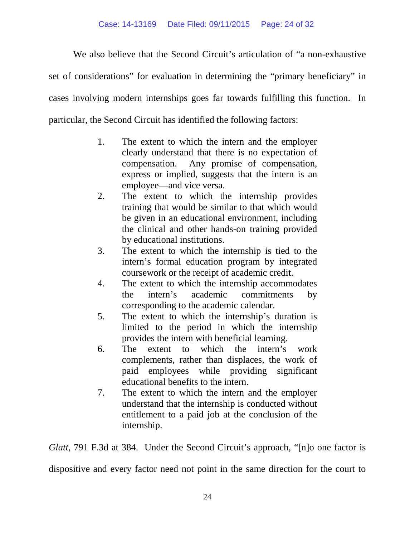We also believe that the Second Circuit's articulation of "a non-exhaustive"

set of considerations" for evaluation in determining the "primary beneficiary" in

cases involving modern internships goes far towards fulfilling this function. In

particular, the Second Circuit has identified the following factors:

- 1. The extent to which the intern and the employer clearly understand that there is no expectation of compensation. Any promise of compensation, express or implied, suggests that the intern is an employee—and vice versa.
- 2. The extent to which the internship provides training that would be similar to that which would be given in an educational environment, including the clinical and other hands-on training provided by educational institutions.
- 3. The extent to which the internship is tied to the intern's formal education program by integrated coursework or the receipt of academic credit.
- 4. The extent to which the internship accommodates the intern's academic commitments by corresponding to the academic calendar.
- 5. The extent to which the internship's duration is limited to the period in which the internship provides the intern with beneficial learning.
- 6. The extent to which the intern's work complements, rather than displaces, the work of paid employees while providing significant educational benefits to the intern.
- 7. The extent to which the intern and the employer understand that the internship is conducted without entitlement to a paid job at the conclusion of the internship.

*Glatt*, 791 F.3d at 384. Under the Second Circuit's approach, "[n]o one factor is dispositive and every factor need not point in the same direction for the court to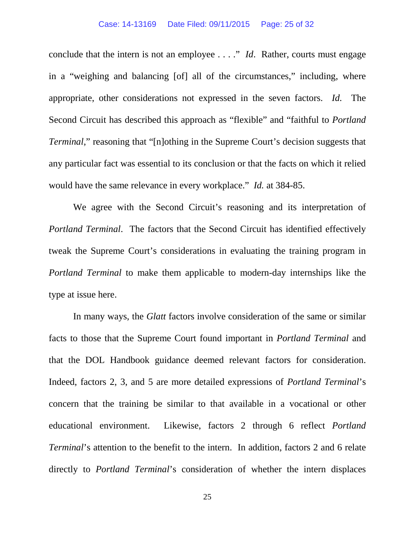#### Case: 14-13169 Date Filed: 09/11/2015 Page: 25 of 32

conclude that the intern is not an employee . . . ." *Id*. Rather, courts must engage in a "weighing and balancing [of] all of the circumstances," including, where appropriate, other considerations not expressed in the seven factors. *Id.* The Second Circuit has described this approach as "flexible" and "faithful to *Portland Terminal*," reasoning that "[n]othing in the Supreme Court's decision suggests that any particular fact was essential to its conclusion or that the facts on which it relied would have the same relevance in every workplace." *Id.* at 384-85.

We agree with the Second Circuit's reasoning and its interpretation of *Portland Terminal*. The factors that the Second Circuit has identified effectively tweak the Supreme Court's considerations in evaluating the training program in *Portland Terminal* to make them applicable to modern-day internships like the type at issue here.

In many ways, the *Glatt* factors involve consideration of the same or similar facts to those that the Supreme Court found important in *Portland Terminal* and that the DOL Handbook guidance deemed relevant factors for consideration. Indeed, factors 2, 3, and 5 are more detailed expressions of *Portland Terminal*'s concern that the training be similar to that available in a vocational or other educational environment. Likewise, factors 2 through 6 reflect *Portland Terminal*'s attention to the benefit to the intern. In addition, factors 2 and 6 relate directly to *Portland Terminal*'s consideration of whether the intern displaces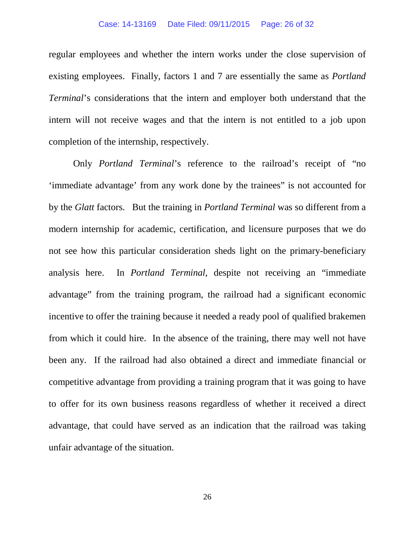#### Case: 14-13169 Date Filed: 09/11/2015 Page: 26 of 32

regular employees and whether the intern works under the close supervision of existing employees. Finally, factors 1 and 7 are essentially the same as *Portland Terminal*'s considerations that the intern and employer both understand that the intern will not receive wages and that the intern is not entitled to a job upon completion of the internship, respectively.

Only *Portland Terminal*'s reference to the railroad's receipt of "no 'immediate advantage' from any work done by the trainees" is not accounted for by the *Glatt* factors. But the training in *Portland Terminal* was so different from a modern internship for academic, certification, and licensure purposes that we do not see how this particular consideration sheds light on the primary-beneficiary analysis here. In *Portland Terminal*, despite not receiving an "immediate advantage" from the training program, the railroad had a significant economic incentive to offer the training because it needed a ready pool of qualified brakemen from which it could hire. In the absence of the training, there may well not have been any. If the railroad had also obtained a direct and immediate financial or competitive advantage from providing a training program that it was going to have to offer for its own business reasons regardless of whether it received a direct advantage, that could have served as an indication that the railroad was taking unfair advantage of the situation.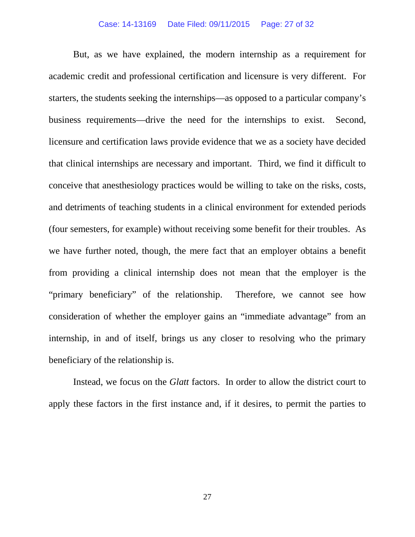#### Case: 14-13169 Date Filed: 09/11/2015 Page: 27 of 32

But, as we have explained, the modern internship as a requirement for academic credit and professional certification and licensure is very different. For starters, the students seeking the internships—as opposed to a particular company's business requirements—drive the need for the internships to exist. Second, licensure and certification laws provide evidence that we as a society have decided that clinical internships are necessary and important. Third, we find it difficult to conceive that anesthesiology practices would be willing to take on the risks, costs, and detriments of teaching students in a clinical environment for extended periods (four semesters, for example) without receiving some benefit for their troubles. As we have further noted, though, the mere fact that an employer obtains a benefit from providing a clinical internship does not mean that the employer is the "primary beneficiary" of the relationship. Therefore, we cannot see how consideration of whether the employer gains an "immediate advantage" from an internship, in and of itself, brings us any closer to resolving who the primary beneficiary of the relationship is.

Instead, we focus on the *Glatt* factors. In order to allow the district court to apply these factors in the first instance and, if it desires, to permit the parties to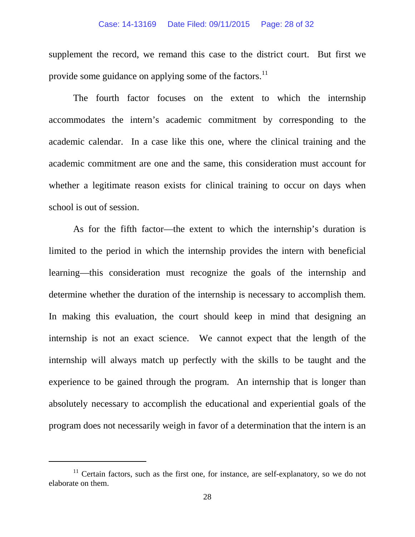#### Case: 14-13169 Date Filed: 09/11/2015 Page: 28 of 32

supplement the record, we remand this case to the district court. But first we provide some guidance on applying some of the factors.<sup>[11](#page-27-0)</sup>

The fourth factor focuses on the extent to which the internship accommodates the intern's academic commitment by corresponding to the academic calendar. In a case like this one, where the clinical training and the academic commitment are one and the same, this consideration must account for whether a legitimate reason exists for clinical training to occur on days when school is out of session.

As for the fifth factor—the extent to which the internship's duration is limited to the period in which the internship provides the intern with beneficial learning—this consideration must recognize the goals of the internship and determine whether the duration of the internship is necessary to accomplish them. In making this evaluation, the court should keep in mind that designing an internship is not an exact science. We cannot expect that the length of the internship will always match up perfectly with the skills to be taught and the experience to be gained through the program. An internship that is longer than absolutely necessary to accomplish the educational and experiential goals of the program does not necessarily weigh in favor of a determination that the intern is an

<span id="page-27-0"></span> $11$  Certain factors, such as the first one, for instance, are self-explanatory, so we do not elaborate on them.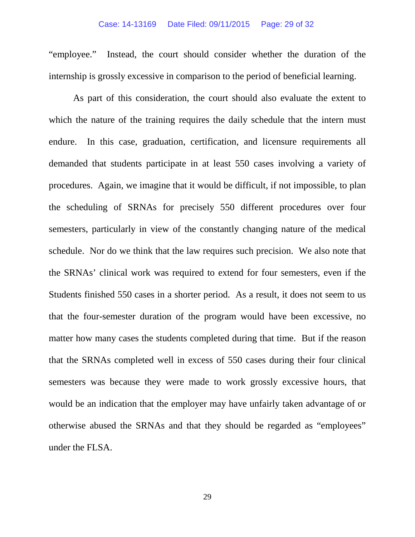#### Case: 14-13169 Date Filed: 09/11/2015 Page: 29 of 32

"employee." Instead, the court should consider whether the duration of the internship is grossly excessive in comparison to the period of beneficial learning.

As part of this consideration, the court should also evaluate the extent to which the nature of the training requires the daily schedule that the intern must endure. In this case, graduation, certification, and licensure requirements all demanded that students participate in at least 550 cases involving a variety of procedures. Again, we imagine that it would be difficult, if not impossible, to plan the scheduling of SRNAs for precisely 550 different procedures over four semesters, particularly in view of the constantly changing nature of the medical schedule. Nor do we think that the law requires such precision. We also note that the SRNAs' clinical work was required to extend for four semesters, even if the Students finished 550 cases in a shorter period. As a result, it does not seem to us that the four-semester duration of the program would have been excessive, no matter how many cases the students completed during that time. But if the reason that the SRNAs completed well in excess of 550 cases during their four clinical semesters was because they were made to work grossly excessive hours, that would be an indication that the employer may have unfairly taken advantage of or otherwise abused the SRNAs and that they should be regarded as "employees" under the FLSA.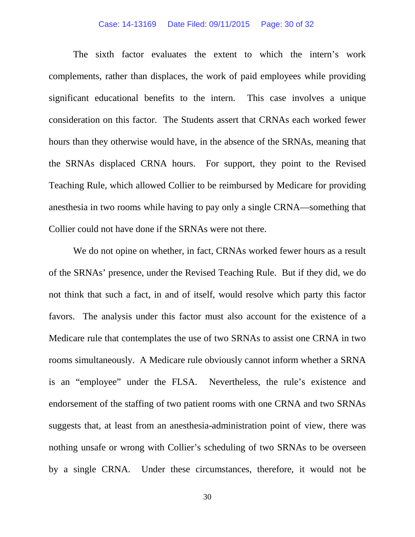#### Case: 14-13169 Date Filed: 09/11/2015 Page: 30 of 32

The sixth factor evaluates the extent to which the intern's work complements, rather than displaces, the work of paid employees while providing significant educational benefits to the intern. This case involves a unique consideration on this factor. The Students assert that CRNAs each worked fewer hours than they otherwise would have, in the absence of the SRNAs, meaning that the SRNAs displaced CRNA hours. For support, they point to the Revised Teaching Rule, which allowed Collier to be reimbursed by Medicare for providing anesthesia in two rooms while having to pay only a single CRNA—something that Collier could not have done if the SRNAs were not there.

We do not opine on whether, in fact, CRNAs worked fewer hours as a result of the SRNAs' presence, under the Revised Teaching Rule. But if they did, we do not think that such a fact, in and of itself, would resolve which party this factor favors. The analysis under this factor must also account for the existence of a Medicare rule that contemplates the use of two SRNAs to assist one CRNA in two rooms simultaneously. A Medicare rule obviously cannot inform whether a SRNA is an "employee" under the FLSA. Nevertheless, the rule's existence and endorsement of the staffing of two patient rooms with one CRNA and two SRNAs suggests that, at least from an anesthesia-administration point of view, there was nothing unsafe or wrong with Collier's scheduling of two SRNAs to be overseen by a single CRNA. Under these circumstances, therefore, it would not be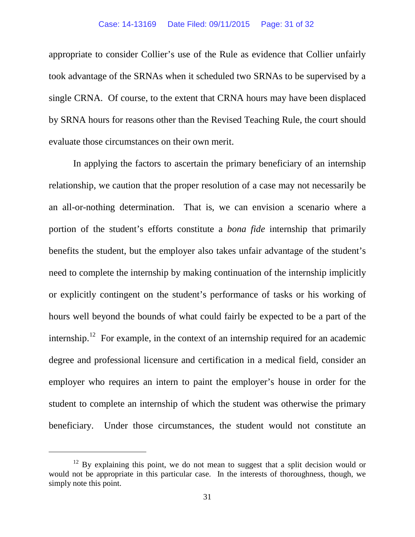appropriate to consider Collier's use of the Rule as evidence that Collier unfairly took advantage of the SRNAs when it scheduled two SRNAs to be supervised by a single CRNA. Of course, to the extent that CRNA hours may have been displaced by SRNA hours for reasons other than the Revised Teaching Rule, the court should evaluate those circumstances on their own merit.

In applying the factors to ascertain the primary beneficiary of an internship relationship, we caution that the proper resolution of a case may not necessarily be an all-or-nothing determination. That is, we can envision a scenario where a portion of the student's efforts constitute a *bona fide* internship that primarily benefits the student, but the employer also takes unfair advantage of the student's need to complete the internship by making continuation of the internship implicitly or explicitly contingent on the student's performance of tasks or his working of hours well beyond the bounds of what could fairly be expected to be a part of the internship.<sup>[12](#page-30-0)</sup> For example, in the context of an internship required for an academic degree and professional licensure and certification in a medical field, consider an employer who requires an intern to paint the employer's house in order for the student to complete an internship of which the student was otherwise the primary beneficiary. Under those circumstances, the student would not constitute an

<span id="page-30-0"></span> $12$  By explaining this point, we do not mean to suggest that a split decision would or would not be appropriate in this particular case. In the interests of thoroughness, though, we simply note this point.